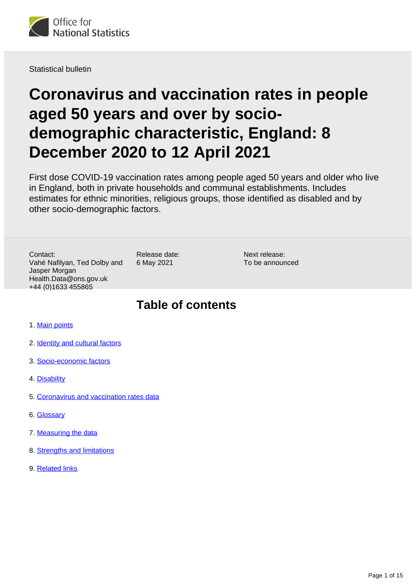

Statistical bulletin

# **Coronavirus and vaccination rates in people aged 50 years and over by sociodemographic characteristic, England: 8 December 2020 to 12 April 2021**

First dose COVID-19 vaccination rates among people aged 50 years and older who live in England, both in private households and communal establishments. Includes estimates for ethnic minorities, religious groups, those identified as disabled and by other socio-demographic factors.

Contact: Vahé Nafilyan, Ted Dolby and Jasper Morgan Health.Data@ons.gov.uk +44 (0)1633 455865

Release date: 6 May 2021

Next release: To be announced

## **Table of contents**

- 1. [Main points](#page-1-0)
- 2. [Identity and cultural factors](#page-1-1)
- 3. [Socio-economic factors](#page-7-0)
- 4. [Disability](#page-11-0)
- 5. [Coronavirus and vaccination rates data](#page-12-0)
- 6. [Glossary](#page-12-1)
- 7. [Measuring the data](#page-13-0)
- 8. [Strengths and limitations](#page-13-1)
- 9. [Related links](#page-14-0)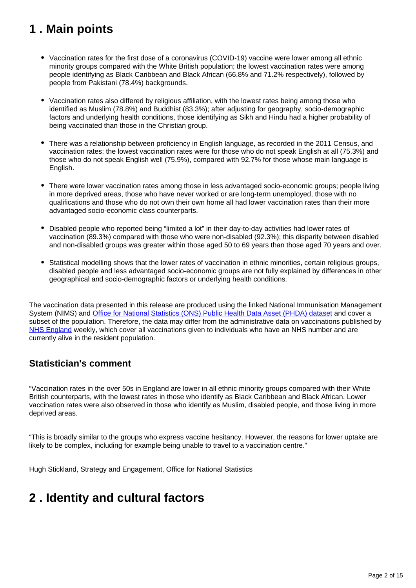## <span id="page-1-0"></span>**1 . Main points**

- Vaccination rates for the first dose of a coronavirus (COVID-19) vaccine were lower among all ethnic minority groups compared with the White British population; the lowest vaccination rates were among people identifying as Black Caribbean and Black African (66.8% and 71.2% respectively), followed by people from Pakistani (78.4%) backgrounds.
- Vaccination rates also differed by religious affiliation, with the lowest rates being among those who identified as Muslim (78.8%) and Buddhist (83.3%); after adjusting for geography, socio-demographic factors and underlying health conditions, those identifying as Sikh and Hindu had a higher probability of being vaccinated than those in the Christian group.
- There was a relationship between proficiency in English language, as recorded in the 2011 Census, and vaccination rates; the lowest vaccination rates were for those who do not speak English at all (75.3%) and those who do not speak English well (75.9%), compared with 92.7% for those whose main language is English.
- There were lower vaccination rates among those in less advantaged socio-economic groups; people living in more deprived areas, those who have never worked or are long-term unemployed, those with no qualifications and those who do not own their own home all had lower vaccination rates than their more advantaged socio-economic class counterparts.
- Disabled people who reported being "limited a lot" in their day-to-day activities had lower rates of vaccination (89.3%) compared with those who were non-disabled (92.3%); this disparity between disabled and non-disabled groups was greater within those aged 50 to 69 years than those aged 70 years and over.
- Statistical modelling shows that the lower rates of vaccination in ethnic minorities, certain religious groups, disabled people and less advantaged socio-economic groups are not fully explained by differences in other geographical and socio-demographic factors or underlying health conditions.

The vaccination data presented in this release are produced using the linked National Immunisation Management System (NIMS) and [Office for National Statistics \(ONS\) Public Health Data Asset \(PHDA\) dataset](https://www.ons.gov.uk/peoplepopulationandcommunity/healthandsocialcare/healthinequalities/bulletins/coronavirusandvaccinationratesinpeopleaged70yearsandoverbysociodemographiccharacteristicengland/8december2020to12april2021#measuring-the-data) and cover a subset of the population. Therefore, the data may differ from the administrative data on vaccinations published by [NHS England](https://www.england.nhs.uk/statistics/statistical-work-areas/covid-19-vaccinations/) weekly, which cover all vaccinations given to individuals who have an NHS number and are currently alive in the resident population.

### **Statistician's comment**

"Vaccination rates in the over 50s in England are lower in all ethnic minority groups compared with their White British counterparts, with the lowest rates in those who identify as Black Caribbean and Black African. Lower vaccination rates were also observed in those who identify as Muslim, disabled people, and those living in more deprived areas.

"This is broadly similar to the groups who express vaccine hesitancy. However, the reasons for lower uptake are likely to be complex, including for example being unable to travel to a vaccination centre."

Hugh Stickland, Strategy and Engagement, Office for National Statistics

## <span id="page-1-1"></span>**2 . Identity and cultural factors**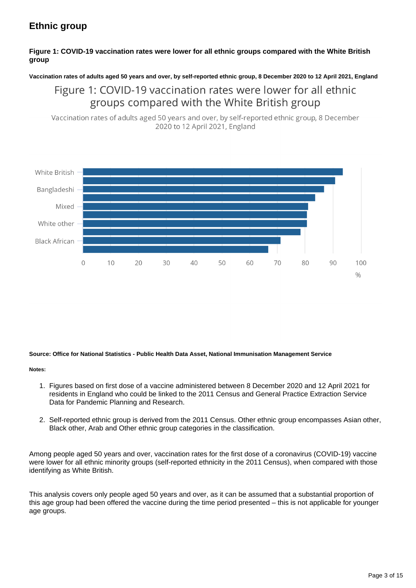### **Ethnic group**

### **Figure 1: COVID-19 vaccination rates were lower for all ethnic groups compared with the White British group**

**Vaccination rates of adults aged 50 years and over, by self-reported ethnic group, 8 December 2020 to 12 April 2021, England**

Figure 1: COVID-19 vaccination rates were lower for all ethnic groups compared with the White British group

Vaccination rates of adults aged 50 years and over, by self-reported ethnic group, 8 December 2020 to 12 April 2021, England



### **Source: Office for National Statistics - Public Health Data Asset, National Immunisation Management Service**

### **Notes:**

- 1. Figures based on first dose of a vaccine administered between 8 December 2020 and 12 April 2021 for residents in England who could be linked to the 2011 Census and General Practice Extraction Service Data for Pandemic Planning and Research.
- 2. Self-reported ethnic group is derived from the 2011 Census. Other ethnic group encompasses Asian other, Black other, Arab and Other ethnic group categories in the classification.

Among people aged 50 years and over, vaccination rates for the first dose of a coronavirus (COVID-19) vaccine were lower for all ethnic minority groups (self-reported ethnicity in the 2011 Census), when compared with those identifying as White British.

This analysis covers only people aged 50 years and over, as it can be assumed that a substantial proportion of this age group had been offered the vaccine during the time period presented – this is not applicable for younger age groups.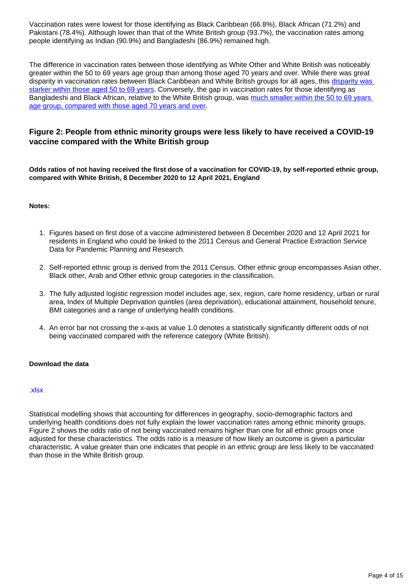Vaccination rates were lowest for those identifying as Black Caribbean (66.8%), Black African (71.2%) and Pakistani (78.4%). Although lower than that of the White British group (93.7%), the vaccination rates among people identifying as Indian (90.9%) and Bangladeshi (86.9%) remained high.

The difference in vaccination rates between those identifying as White Other and White British was noticeably greater within the 50 to 69 years age group than among those aged 70 years and over. While there was great disparity in vaccination rates between Black Caribbean and White British groups for all ages, this [disparity was](https://www.ons.gov.uk/peoplepopulationandcommunity/healthandsocialcare/healthinequalities/datasets/covid19vaccinationratesandoddsratiosbysociodemographicgroup)  [starker within those aged 50 to 69 years.](https://www.ons.gov.uk/peoplepopulationandcommunity/healthandsocialcare/healthinequalities/datasets/covid19vaccinationratesandoddsratiosbysociodemographicgroup) Conversely, the gap in vaccination rates for those identifying as Bangladeshi and Black African, relative to the White British group, was [much smaller within the 50 to 69 years](https://www.ons.gov.uk/peoplepopulationandcommunity/healthandsocialcare/healthinequalities/datasets/covid19vaccinationratesandoddsratiosbysociodemographicgroup)  [age group, compared with those aged 70 years and over](https://www.ons.gov.uk/peoplepopulationandcommunity/healthandsocialcare/healthinequalities/datasets/covid19vaccinationratesandoddsratiosbysociodemographicgroup).

### **Figure 2: People from ethnic minority groups were less likely to have received a COVID-19 vaccine compared with the White British group**

**Odds ratios of not having received the first dose of a vaccination for COVID-19, by self-reported ethnic group, compared with White British, 8 December 2020 to 12 April 2021, England**

#### **Notes:**

- 1. Figures based on first dose of a vaccine administered between 8 December 2020 and 12 April 2021 for residents in England who could be linked to the 2011 Census and General Practice Extraction Service Data for Pandemic Planning and Research.
- 2. Self-reported ethnic group is derived from the 2011 Census. Other ethnic group encompasses Asian other, Black other, Arab and Other ethnic group categories in the classification.
- 3. The fully adjusted logistic regression model includes age, sex, region, care home residency, urban or rural area, Index of Multiple Deprivation quintiles (area deprivation), educational attainment, household tenure, BMI categories and a range of underlying health conditions.
- 4. An error bar not crossing the x-axis at value 1.0 denotes a statistically significantly different odds of not being vaccinated compared with the reference category (White British).

### **Download the data**

#### [.xlsx](https://www.ons.gov.uk/visualisations/dvc1341a/ethnicity/datadownload.xlsx)

Statistical modelling shows that accounting for differences in geography, socio-demographic factors and underlying health conditions does not fully explain the lower vaccination rates among ethnic minority groups. Figure 2 shows the odds ratio of not being vaccinated remains higher than one for all ethnic groups once adjusted for these characteristics. The odds ratio is a measure of how likely an outcome is given a particular characteristic. A value greater than one indicates that people in an ethnic group are less likely to be vaccinated than those in the White British group.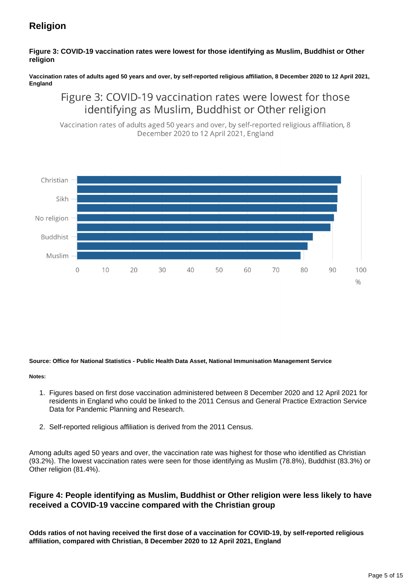### **Religion**

### **Figure 3: COVID-19 vaccination rates were lowest for those identifying as Muslim, Buddhist or Other religion**

#### **Vaccination rates of adults aged 50 years and over, by self-reported religious affiliation, 8 December 2020 to 12 April 2021, England**

### Figure 3: COVID-19 vaccination rates were lowest for those identifying as Muslim, Buddhist or Other religion

Vaccination rates of adults aged 50 years and over, by self-reported religious affiliation, 8 December 2020 to 12 April 2021, England



#### **Source: Office for National Statistics - Public Health Data Asset, National Immunisation Management Service**

#### **Notes:**

- 1. Figures based on first dose vaccination administered between 8 December 2020 and 12 April 2021 for residents in England who could be linked to the 2011 Census and General Practice Extraction Service Data for Pandemic Planning and Research.
- 2. Self-reported religious affiliation is derived from the 2011 Census.

Among adults aged 50 years and over, the vaccination rate was highest for those who identified as Christian (93.2%). The lowest vaccination rates were seen for those identifying as Muslim (78.8%), Buddhist (83.3%) or Other religion (81.4%).

### **Figure 4: People identifying as Muslim, Buddhist or Other religion were less likely to have received a COVID-19 vaccine compared with the Christian group**

**Odds ratios of not having received the first dose of a vaccination for COVID-19, by self-reported religious affiliation, compared with Christian, 8 December 2020 to 12 April 2021, England**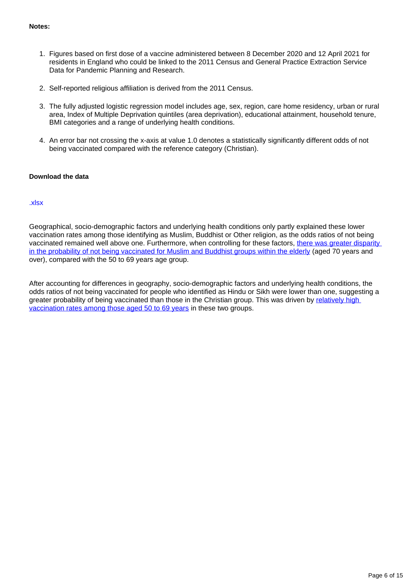### **Notes:**

- 1. Figures based on first dose of a vaccine administered between 8 December 2020 and 12 April 2021 for residents in England who could be linked to the 2011 Census and General Practice Extraction Service Data for Pandemic Planning and Research.
- 2. Self-reported religious affiliation is derived from the 2011 Census.
- 3. The fully adjusted logistic regression model includes age, sex, region, care home residency, urban or rural area, Index of Multiple Deprivation quintiles (area deprivation), educational attainment, household tenure, BMI categories and a range of underlying health conditions.
- 4. An error bar not crossing the x-axis at value 1.0 denotes a statistically significantly different odds of not being vaccinated compared with the reference category (Christian).

### **Download the data**

#### [.xlsx](https://www.ons.gov.uk/visualisations/dvc1341a/religion/datadownload.xlsx)

Geographical, socio-demographic factors and underlying health conditions only partly explained these lower vaccination rates among those identifying as Muslim, Buddhist or Other religion, as the odds ratios of not being vaccinated remained well above one. Furthermore, when controlling for these factors, [there was greater disparity](https://www.ons.gov.uk/peoplepopulationandcommunity/healthandsocialcare/healthinequalities/datasets/covid19vaccinationratesandoddsratiosbysociodemographicgroup)  [in the probability of not being vaccinated for Muslim and Buddhist groups within the elderly](https://www.ons.gov.uk/peoplepopulationandcommunity/healthandsocialcare/healthinequalities/datasets/covid19vaccinationratesandoddsratiosbysociodemographicgroup) (aged 70 years and over), compared with the 50 to 69 years age group.

After accounting for differences in geography, socio-demographic factors and underlying health conditions, the odds ratios of not being vaccinated for people who identified as Hindu or Sikh were lower than one, suggesting a greater probability of being vaccinated than those in the Christian group. This was driven by [relatively high](https://www.ons.gov.uk/peoplepopulationandcommunity/healthandsocialcare/healthinequalities/datasets/covid19vaccinationratesandoddsratiosbysociodemographicgroup)  [vaccination rates among those aged 50 to 69 years](https://www.ons.gov.uk/peoplepopulationandcommunity/healthandsocialcare/healthinequalities/datasets/covid19vaccinationratesandoddsratiosbysociodemographicgroup) in these two groups.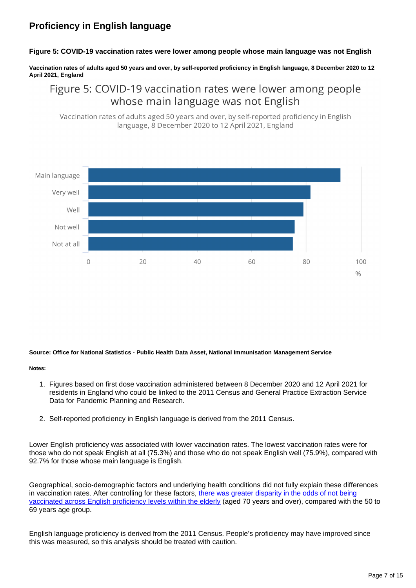### **Proficiency in English language**

#### **Figure 5: COVID-19 vaccination rates were lower among people whose main language was not English**

**Vaccination rates of adults aged 50 years and over, by self-reported proficiency in English language, 8 December 2020 to 12 April 2021, England**

### Figure 5: COVID-19 vaccination rates were lower among people whose main language was not English

Vaccination rates of adults aged 50 years and over, by self-reported proficiency in English language, 8 December 2020 to 12 April 2021, England



#### **Source: Office for National Statistics - Public Health Data Asset, National Immunisation Management Service**

#### **Notes:**

- 1. Figures based on first dose vaccination administered between 8 December 2020 and 12 April 2021 for residents in England who could be linked to the 2011 Census and General Practice Extraction Service Data for Pandemic Planning and Research.
- 2. Self-reported proficiency in English language is derived from the 2011 Census.

Lower English proficiency was associated with lower vaccination rates. The lowest vaccination rates were for those who do not speak English at all (75.3%) and those who do not speak English well (75.9%), compared with 92.7% for those whose main language is English.

Geographical, socio-demographic factors and underlying health conditions did not fully explain these differences in vaccination rates. After controlling for these factors, there was greater disparity in the odds of not being [vaccinated across English proficiency levels within the elderly](https://www.ons.gov.uk/peoplepopulationandcommunity/healthandsocialcare/healthinequalities/datasets/covid19vaccinationratesandoddsratiosbysociodemographicgroup) (aged 70 years and over), compared with the 50 to 69 years age group.

English language proficiency is derived from the 2011 Census. People's proficiency may have improved since this was measured, so this analysis should be treated with caution.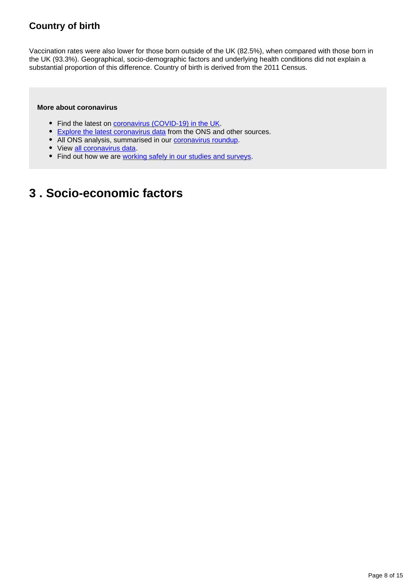### **Country of birth**

Vaccination rates were also lower for those born outside of the UK (82.5%), when compared with those born in the UK (93.3%). Geographical, socio-demographic factors and underlying health conditions did not explain a substantial proportion of this difference. Country of birth is derived from the 2011 Census.

### **More about coronavirus**

- Find the latest on *coronavirus (COVID-19) in the UK*.
- **[Explore the latest coronavirus data](https://www.ons.gov.uk/peoplepopulationandcommunity/healthandsocialcare/conditionsanddiseases/articles/coronaviruscovid19/latestinsights)** from the ONS and other sources.
- All ONS analysis, summarised in our [coronavirus roundup.](https://www.ons.gov.uk/peoplepopulationandcommunity/healthandsocialcare/conditionsanddiseases/articles/coronaviruscovid19roundup/latest)
- View [all coronavirus data](https://www.ons.gov.uk/peoplepopulationandcommunity/healthandsocialcare/conditionsanddiseases/datalist).
- Find out how we are [working safely in our studies and surveys.](https://www.ons.gov.uk/news/statementsandletters/ensuringyoursafetyduringcovid19)

## <span id="page-7-0"></span>**3 . Socio-economic factors**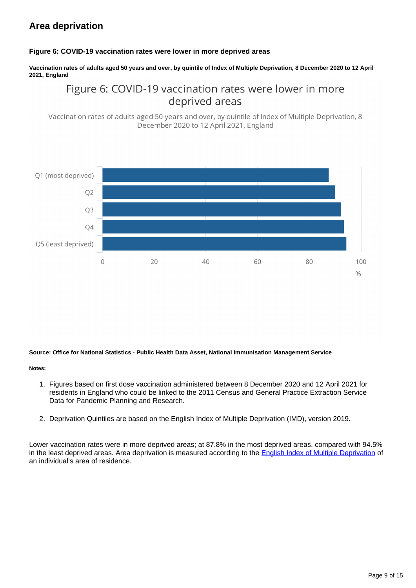### **Area deprivation**

### **Figure 6: COVID-19 vaccination rates were lower in more deprived areas**

**Vaccination rates of adults aged 50 years and over, by quintile of Index of Multiple Deprivation, 8 December 2020 to 12 April 2021, England**

### Figure 6: COVID-19 vaccination rates were lower in more deprived areas

Vaccination rates of adults aged 50 years and over, by quintile of Index of Multiple Deprivation, 8 December 2020 to 12 April 2021, England



#### **Source: Office for National Statistics - Public Health Data Asset, National Immunisation Management Service**

#### **Notes:**

- 1. Figures based on first dose vaccination administered between 8 December 2020 and 12 April 2021 for residents in England who could be linked to the 2011 Census and General Practice Extraction Service Data for Pandemic Planning and Research.
- 2. Deprivation Quintiles are based on the English Index of Multiple Deprivation (IMD), version 2019.

Lower vaccination rates were in more deprived areas; at 87.8% in the most deprived areas, compared with 94.5% in the least deprived areas. Area deprivation is measured according to the [English Index of Multiple Deprivation](https://www.gov.uk/government/statistics/english-indices-of-deprivation-2019) of an individual's area of residence.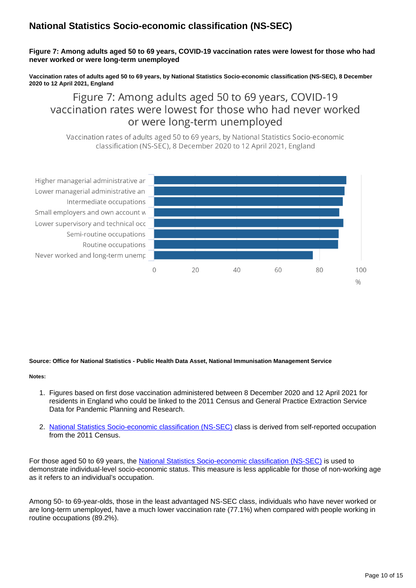### **National Statistics Socio-economic classification (NS-SEC)**

### **Figure 7: Among adults aged 50 to 69 years, COVID-19 vaccination rates were lowest for those who had never worked or were long-term unemployed**

**Vaccination rates of adults aged 50 to 69 years, by National Statistics Socio-economic classification (NS-SEC), 8 December 2020 to 12 April 2021, England**

Figure 7: Among adults aged 50 to 69 years, COVID-19 vaccination rates were lowest for those who had never worked or were long-term unemployed

Vaccination rates of adults aged 50 to 69 years, by National Statistics Socio-economic classification (NS-SEC), 8 December 2020 to 12 April 2021, England



#### **Source: Office for National Statistics - Public Health Data Asset, National Immunisation Management Service**

#### **Notes:**

- 1. Figures based on first dose vaccination administered between 8 December 2020 and 12 April 2021 for residents in England who could be linked to the 2011 Census and General Practice Extraction Service Data for Pandemic Planning and Research.
- 2. [National Statistics Socio-economic classification \(NS-SEC\)](https://www.ons.gov.uk/methodology/classificationsandstandards/otherclassifications/thenationalstatisticssocioeconomicclassificationnssecrebasedonsoc2010) class is derived from self-reported occupation from the 2011 Census.

For those aged 50 to 69 years, the [National Statistics Socio-economic classification \(NS-SEC\)](https://www.ons.gov.uk/methodology/classificationsandstandards/standardoccupationalclassificationsoc/soc2020/soc2020volume3thenationalstatisticssocioeconomicclassificationnssecrebasedonthesoc2020) is used to demonstrate individual-level socio-economic status. This measure is less applicable for those of non-working age as it refers to an individual's occupation.

Among 50- to 69-year-olds, those in the least advantaged NS-SEC class, individuals who have never worked or are long-term unemployed, have a much lower vaccination rate (77.1%) when compared with people working in routine occupations (89.2%).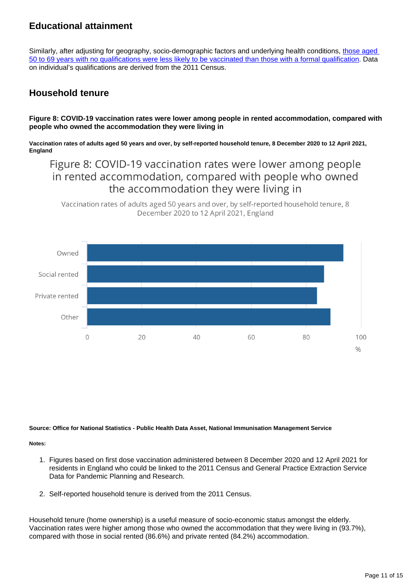### **Educational attainment**

Similarly, after adjusting for geography, socio-demographic factors and underlying health conditions, those aged [50 to 69 years with no qualifications were less likely to be vaccinated than those with a formal qualification](https://www.ons.gov.uk/peoplepopulationandcommunity/healthandsocialcare/healthinequalities/datasets/covid19vaccinationratesandoddsratiosbysociodemographicgroup). Data on individual's qualifications are derived from the 2011 Census.

### **Household tenure**

**Figure 8: COVID-19 vaccination rates were lower among people in rented accommodation, compared with people who owned the accommodation they were living in**

**Vaccination rates of adults aged 50 years and over, by self-reported household tenure, 8 December 2020 to 12 April 2021, England**

Figure 8: COVID-19 vaccination rates were lower among people in rented accommodation, compared with people who owned the accommodation they were living in

Vaccination rates of adults aged 50 years and over, by self-reported household tenure, 8 December 2020 to 12 April 2021, England



**Source: Office for National Statistics - Public Health Data Asset, National Immunisation Management Service**

**Notes:**

- 1. Figures based on first dose vaccination administered between 8 December 2020 and 12 April 2021 for residents in England who could be linked to the 2011 Census and General Practice Extraction Service Data for Pandemic Planning and Research.
- 2. Self-reported household tenure is derived from the 2011 Census.

Household tenure (home ownership) is a useful measure of socio-economic status amongst the elderly. Vaccination rates were higher among those who owned the accommodation that they were living in (93.7%), compared with those in social rented (86.6%) and private rented (84.2%) accommodation.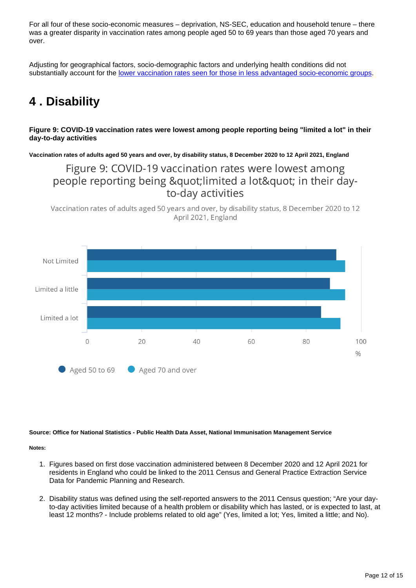For all four of these socio-economic measures – deprivation, NS-SEC, education and household tenure – there was a greater disparity in vaccination rates among people aged 50 to 69 years than those aged 70 years and over.

Adjusting for geographical factors, socio-demographic factors and underlying health conditions did not substantially account for the [lower vaccination rates seen for those in less advantaged socio-economic groups](https://www.ons.gov.uk/peoplepopulationandcommunity/healthandsocialcare/healthinequalities/datasets/covid19vaccinationratesandoddsratiosbysociodemographicgroup).

## <span id="page-11-0"></span>**4 . Disability**

### **Figure 9: COVID-19 vaccination rates were lowest among people reporting being "limited a lot" in their day-to-day activities**

**Vaccination rates of adults aged 50 years and over, by disability status, 8 December 2020 to 12 April 2021, England**

Figure 9: COVID-19 vaccination rates were lowest among people reporting being "limited a lot" in their dayto-day activities

Vaccination rates of adults aged 50 years and over, by disability status, 8 December 2020 to 12 April 2021, England



#### **Source: Office for National Statistics - Public Health Data Asset, National Immunisation Management Service**

**Notes:**

- 1. Figures based on first dose vaccination administered between 8 December 2020 and 12 April 2021 for residents in England who could be linked to the 2011 Census and General Practice Extraction Service Data for Pandemic Planning and Research.
- 2. Disability status was defined using the self-reported answers to the 2011 Census question; "Are your dayto-day activities limited because of a health problem or disability which has lasted, or is expected to last, at least 12 months? - Include problems related to old age" (Yes, limited a lot; Yes, limited a little; and No).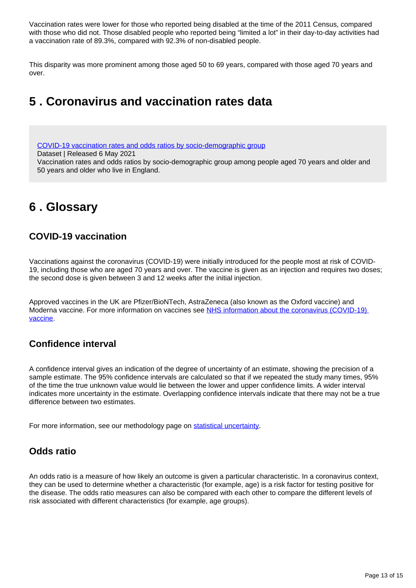Vaccination rates were lower for those who reported being disabled at the time of the 2011 Census, compared with those who did not. Those disabled people who reported being "limited a lot" in their day-to-day activities had a vaccination rate of 89.3%, compared with 92.3% of non-disabled people.

This disparity was more prominent among those aged 50 to 69 years, compared with those aged 70 years and over.

## <span id="page-12-0"></span>**5 . Coronavirus and vaccination rates data**

[COVID-19 vaccination rates and odds ratios by socio-demographic group](https://www.ons.gov.uk/peoplepopulationandcommunity/healthandsocialcare/healthinequalities/datasets/covid19vaccinationratesandoddsratiosbysociodemographicgroup)

Dataset | Released 6 May 2021

Vaccination rates and odds ratios by socio-demographic group among people aged 70 years and older and 50 years and older who live in England.

## <span id="page-12-1"></span>**6 . Glossary**

### **COVID-19 vaccination**

Vaccinations against the coronavirus (COVID-19) were initially introduced for the people most at risk of COVID-19, including those who are aged 70 years and over. The vaccine is given as an injection and requires two doses; the second dose is given between 3 and 12 weeks after the initial injection.

Approved vaccines in the UK are Pfizer/BioNTech, AstraZeneca (also known as the Oxford vaccine) and Moderna vaccine. For more information on vaccines see [NHS information about the coronavirus \(COVID-19\)](https://www.nhs.uk/conditions/coronavirus-covid-19/coronavirus-vaccination/coronavirus-vaccine/?utm_campaign=coronavirus_grants&utm_medium=paid_searchl&utm_source=google&utm_content=keyword&gclid=EAIaIQobChMIo6Ch-Pmx8AIV0d_tCh1jVAo0EAAYASAAEgLlFfD_BwE)  [vaccine](https://www.nhs.uk/conditions/coronavirus-covid-19/coronavirus-vaccination/coronavirus-vaccine/?utm_campaign=coronavirus_grants&utm_medium=paid_searchl&utm_source=google&utm_content=keyword&gclid=EAIaIQobChMIo6Ch-Pmx8AIV0d_tCh1jVAo0EAAYASAAEgLlFfD_BwE).

### **Confidence interval**

A confidence interval gives an indication of the degree of uncertainty of an estimate, showing the precision of a sample estimate. The 95% confidence intervals are calculated so that if we repeated the study many times, 95% of the time the true unknown value would lie between the lower and upper confidence limits. A wider interval indicates more uncertainty in the estimate. Overlapping confidence intervals indicate that there may not be a true difference between two estimates.

For more information, see our methodology page on [statistical uncertainty.](https://www.ons.gov.uk/methodology/methodologytopicsandstatisticalconcepts/uncertaintyandhowwemeasureit)

### **Odds ratio**

An odds ratio is a measure of how likely an outcome is given a particular characteristic. In a coronavirus context, they can be used to determine whether a characteristic (for example, age) is a risk factor for testing positive for the disease. The odds ratio measures can also be compared with each other to compare the different levels of risk associated with different characteristics (for example, age groups).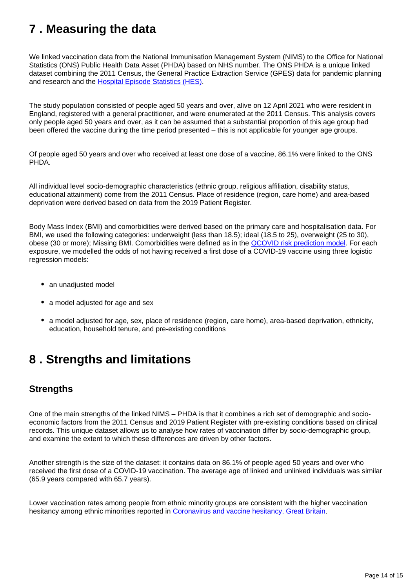## <span id="page-13-0"></span>**7 . Measuring the data**

We linked vaccination data from the National Immunisation Management System (NIMS) to the Office for National Statistics (ONS) Public Health Data Asset (PHDA) based on NHS number. The ONS PHDA is a unique linked dataset combining the 2011 Census, the General Practice Extraction Service (GPES) data for pandemic planning and research and the [Hospital Episode Statistics \(HES\).](https://digital.nhs.uk/data-and-information/data-tools-and-services/data-services/hospital-episode-statistics)

The study population consisted of people aged 50 years and over, alive on 12 April 2021 who were resident in England, registered with a general practitioner, and were enumerated at the 2011 Census. This analysis covers only people aged 50 years and over, as it can be assumed that a substantial proportion of this age group had been offered the vaccine during the time period presented – this is not applicable for younger age groups.

Of people aged 50 years and over who received at least one dose of a vaccine, 86.1% were linked to the ONS PHDA.

All individual level socio-demographic characteristics (ethnic group, religious affiliation, disability status, educational attainment) come from the 2011 Census. Place of residence (region, care home) and area-based deprivation were derived based on data from the 2019 Patient Register.

Body Mass Index (BMI) and comorbidities were derived based on the primary care and hospitalisation data. For BMI, we used the following categories: underweight (less than 18.5); ideal (18.5 to 25), overweight (25 to 30), obese (30 or more); Missing BMI. Comorbidities were defined as in the [QCOVID risk prediction model.](https://www.bmj.com/content/371/bmj.m3731) For each exposure, we modelled the odds of not having received a first dose of a COVID-19 vaccine using three logistic regression models:

- an unadjusted model
- a model adjusted for age and sex
- a model adjusted for age, sex, place of residence (region, care home), area-based deprivation, ethnicity, education, household tenure, and pre-existing conditions

## <span id="page-13-1"></span>**8 . Strengths and limitations**

### **Strengths**

One of the main strengths of the linked NIMS – PHDA is that it combines a rich set of demographic and socioeconomic factors from the 2011 Census and 2019 Patient Register with pre-existing conditions based on clinical records. This unique dataset allows us to analyse how rates of vaccination differ by socio-demographic group, and examine the extent to which these differences are driven by other factors.

Another strength is the size of the dataset: it contains data on 86.1% of people aged 50 years and over who received the first dose of a COVID-19 vaccination. The average age of linked and unlinked individuals was similar (65.9 years compared with 65.7 years).

Lower vaccination rates among people from ethnic minority groups are consistent with the higher vaccination hesitancy among ethnic minorities reported in [Coronavirus and vaccine hesitancy, Great Britain](https://www.ons.gov.uk/releases/coronavirusandvaccinehesitancygreatbritain31marchto25april2021).